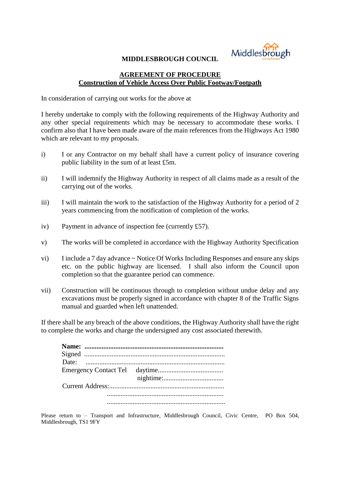

## **MIDDLESBROUGH COUNCIL**

## **AGREEMENT OF PROCEDURE Construction of Vehicle Access Over Public Footway/Footpath**

In consideration of carrying out works for the above at

I hereby undertake to comply with the following requirements of the Highway Authority and any other special requirements which may be necessary to accommodate these works. I confirm also that I have been made aware of the main references from the Highways Act 1980 which are relevant to my proposals.

- i) I or any Contractor on my behalf shall have a current policy of insurance covering public liability in the sum of at least £5m.
- ii) I will indemnify the Highway Authority in respect of all claims made as a result of the carrying out of the works.
- iii) I will maintain the work to the satisfaction of the Highway Authority for a period of 2 years commencing from the notification of completion of the works.
- iv) Payment in advance of inspection fee (currently £57).
- v) The works will be completed in accordance with the Highway Authority Specification
- vi) I include a 7 day advance ~ Notice Of Works Including Responses and ensure any skips etc. on the public highway are licensed. I shall also inform the Council upon completion so that the guarantee period can commence.
- vii) Construction will be continuous through to completion without undue delay and any excavations must be properly signed in accordance with chapter 8 of the Traffic Signs manual and guarded when left unattended.

If there shall be any breach of the above conditions, the Highway Authority shall have the right to complete the works and charge the undersigned any cost associated therewith.

Please return to – Transport and Infrastructure, Middlesbrough Council, Civic Centre, PO Box 504, Middlesbrough, TS1 9FY